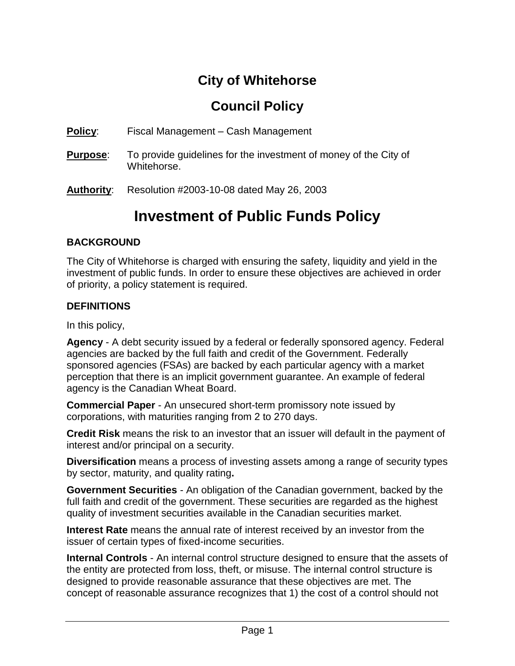# **City of Whitehorse**

## **Council Policy**

**Policy**: Fiscal Management – Cash Management

- **Purpose**: To provide guidelines for the investment of money of the City of Whitehorse.
- **Authority**: Resolution #2003-10-08 dated May 26, 2003

# **Investment of Public Funds Policy**

## **BACKGROUND**

The City of Whitehorse is charged with ensuring the safety, liquidity and yield in the investment of public funds. In order to ensure these objectives are achieved in order of priority, a policy statement is required.

## **DEFINITIONS**

In this policy,

**Agency** - A debt security issued by a federal or federally sponsored agency. Federal agencies are backed by the full faith and credit of the Government. Federally sponsored agencies (FSAs) are backed by each particular agency with a market perception that there is an implicit government guarantee. An example of federal agency is the Canadian Wheat Board.

**Commercial Paper** - An unsecured short-term promissory note issued by corporations, with maturities ranging from 2 to 270 days.

**Credit Risk** means the risk to an investor that an issuer will default in the payment of interest and/or principal on a security.

**Diversification** means a process of investing assets among a range of security types by sector, maturity, and quality rating**.**

**Government Securities** - An obligation of the Canadian government, backed by the full faith and credit of the government. These securities are regarded as the highest quality of investment securities available in the Canadian securities market.

**Interest Rate** means the annual rate of interest received by an investor from the issuer of certain types of fixed-income securities.

**Internal Controls** - An internal control structure designed to ensure that the assets of the entity are protected from loss, theft, or misuse. The internal control structure is designed to provide reasonable assurance that these objectives are met. The concept of reasonable assurance recognizes that 1) the cost of a control should not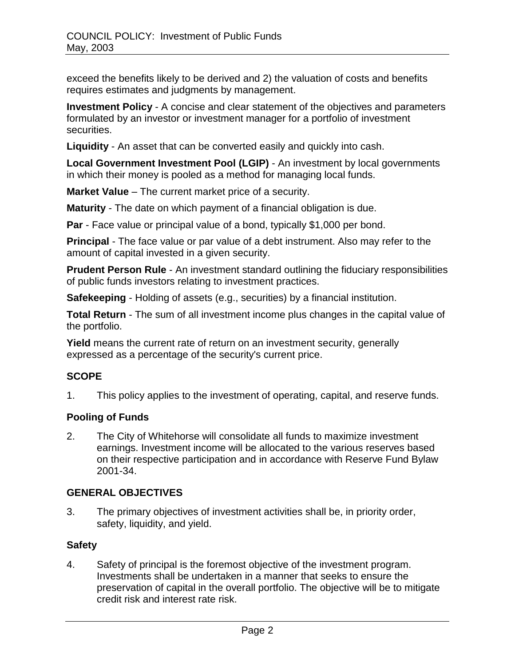exceed the benefits likely to be derived and 2) the valuation of costs and benefits requires estimates and judgments by management.

**Investment Policy** - A concise and clear statement of the objectives and parameters formulated by an investor or investment manager for a portfolio of investment securities.

**Liquidity** - An asset that can be converted easily and quickly into cash.

**Local Government Investment Pool (LGIP)** - An investment by local governments in which their money is pooled as a method for managing local funds.

**Market Value** – The current market price of a security.

**Maturity** - The date on which payment of a financial obligation is due.

**Par** - Face value or principal value of a bond, typically \$1,000 per bond.

**Principal** - The face value or par value of a debt instrument. Also may refer to the amount of capital invested in a given security.

**Prudent Person Rule** - An investment standard outlining the fiduciary responsibilities of public funds investors relating to investment practices.

**Safekeeping** - Holding of assets (e.g., securities) by a financial institution.

**Total Return** - The sum of all investment income plus changes in the capital value of the portfolio.

**Yield** means the current rate of return on an investment security, generally expressed as a percentage of the security's current price.

## **SCOPE**

1. This policy applies to the investment of operating, capital, and reserve funds.

#### **Pooling of Funds**

2. The City of Whitehorse will consolidate all funds to maximize investment earnings. Investment income will be allocated to the various reserves based on their respective participation and in accordance with Reserve Fund Bylaw 2001-34.

#### **GENERAL OBJECTIVES**

3. The primary objectives of investment activities shall be, in priority order, safety, liquidity, and yield.

#### **Safety**

4. Safety of principal is the foremost objective of the investment program. Investments shall be undertaken in a manner that seeks to ensure the preservation of capital in the overall portfolio. The objective will be to mitigate credit risk and interest rate risk.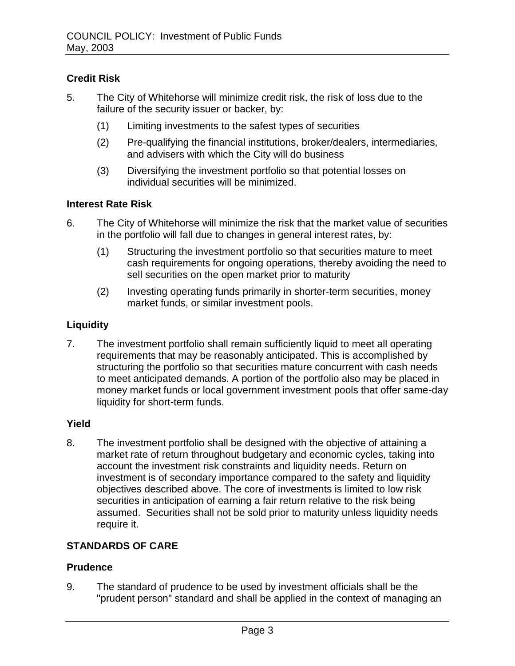## **Credit Risk**

- 5. The City of Whitehorse will minimize credit risk, the risk of loss due to the failure of the security issuer or backer, by:
	- (1) Limiting investments to the safest types of securities
	- (2) Pre-qualifying the financial institutions, broker/dealers, intermediaries, and advisers with which the City will do business
	- (3) Diversifying the investment portfolio so that potential losses on individual securities will be minimized.

#### **Interest Rate Risk**

- 6. The City of Whitehorse will minimize the risk that the market value of securities in the portfolio will fall due to changes in general interest rates, by:
	- (1) Structuring the investment portfolio so that securities mature to meet cash requirements for ongoing operations, thereby avoiding the need to sell securities on the open market prior to maturity
	- (2) Investing operating funds primarily in shorter-term securities, money market funds, or similar investment pools.

## **Liquidity**

7. The investment portfolio shall remain sufficiently liquid to meet all operating requirements that may be reasonably anticipated. This is accomplished by structuring the portfolio so that securities mature concurrent with cash needs to meet anticipated demands. A portion of the portfolio also may be placed in money market funds or local government investment pools that offer same-day liquidity for short-term funds.

#### **Yield**

8. The investment portfolio shall be designed with the objective of attaining a market rate of return throughout budgetary and economic cycles, taking into account the investment risk constraints and liquidity needs. Return on investment is of secondary importance compared to the safety and liquidity objectives described above. The core of investments is limited to low risk securities in anticipation of earning a fair return relative to the risk being assumed. Securities shall not be sold prior to maturity unless liquidity needs require it.

## **STANDARDS OF CARE**

#### **Prudence**

9. The standard of prudence to be used by investment officials shall be the "prudent person" standard and shall be applied in the context of managing an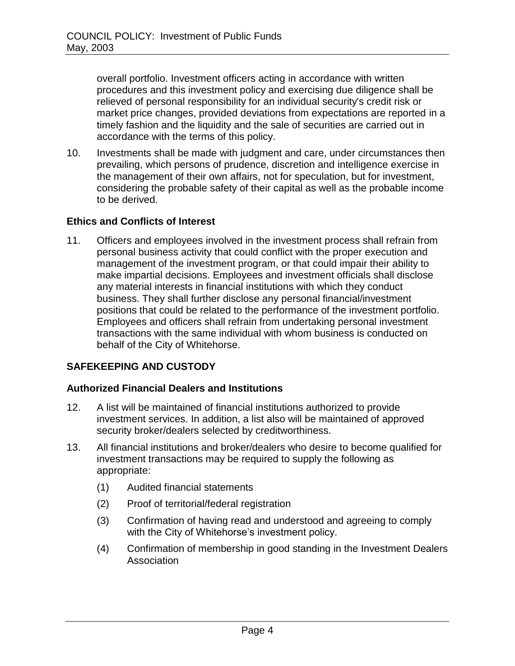overall portfolio. Investment officers acting in accordance with written procedures and this investment policy and exercising due diligence shall be relieved of personal responsibility for an individual security's credit risk or market price changes, provided deviations from expectations are reported in a timely fashion and the liquidity and the sale of securities are carried out in accordance with the terms of this policy.

10. Investments shall be made with judgment and care, under circumstances then prevailing, which persons of prudence, discretion and intelligence exercise in the management of their own affairs, not for speculation, but for investment, considering the probable safety of their capital as well as the probable income to be derived.

#### **Ethics and Conflicts of Interest**

11. Officers and employees involved in the investment process shall refrain from personal business activity that could conflict with the proper execution and management of the investment program, or that could impair their ability to make impartial decisions. Employees and investment officials shall disclose any material interests in financial institutions with which they conduct business. They shall further disclose any personal financial/investment positions that could be related to the performance of the investment portfolio. Employees and officers shall refrain from undertaking personal investment transactions with the same individual with whom business is conducted on behalf of the City of Whitehorse.

#### **SAFEKEEPING AND CUSTODY**

#### **Authorized Financial Dealers and Institutions**

- 12. A list will be maintained of financial institutions authorized to provide investment services. In addition, a list also will be maintained of approved security broker/dealers selected by creditworthiness.
- 13. All financial institutions and broker/dealers who desire to become qualified for investment transactions may be required to supply the following as appropriate:
	- (1) Audited financial statements
	- (2) Proof of territorial/federal registration
	- (3) Confirmation of having read and understood and agreeing to comply with the City of Whitehorse's investment policy.
	- (4) Confirmation of membership in good standing in the Investment Dealers Association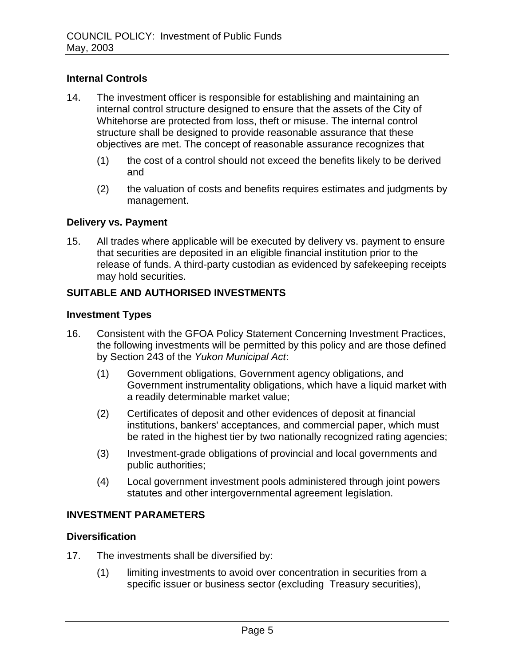#### **Internal Controls**

- 14. The investment officer is responsible for establishing and maintaining an internal control structure designed to ensure that the assets of the City of Whitehorse are protected from loss, theft or misuse. The internal control structure shall be designed to provide reasonable assurance that these objectives are met. The concept of reasonable assurance recognizes that
	- (1) the cost of a control should not exceed the benefits likely to be derived and
	- (2) the valuation of costs and benefits requires estimates and judgments by management.

#### **Delivery vs. Payment**

15. All trades where applicable will be executed by delivery vs. payment to ensure that securities are deposited in an eligible financial institution prior to the release of funds. A third-party custodian as evidenced by safekeeping receipts may hold securities.

#### **SUITABLE AND AUTHORISED INVESTMENTS**

#### **Investment Types**

- 16. Consistent with the GFOA Policy Statement Concerning Investment Practices, the following investments will be permitted by this policy and are those defined by Section 243 of the *Yukon Municipal Act*:
	- (1) Government obligations, Government agency obligations, and Government instrumentality obligations, which have a liquid market with a readily determinable market value;
	- (2) Certificates of deposit and other evidences of deposit at financial institutions, bankers' acceptances, and commercial paper, which must be rated in the highest tier by two nationally recognized rating agencies;
	- (3) Investment-grade obligations of provincial and local governments and public authorities;
	- (4) Local government investment pools administered through joint powers statutes and other intergovernmental agreement legislation.

#### **INVESTMENT PARAMETERS**

#### **Diversification**

- 17. The investments shall be diversified by:
	- (1) limiting investments to avoid over concentration in securities from a specific issuer or business sector (excluding Treasury securities),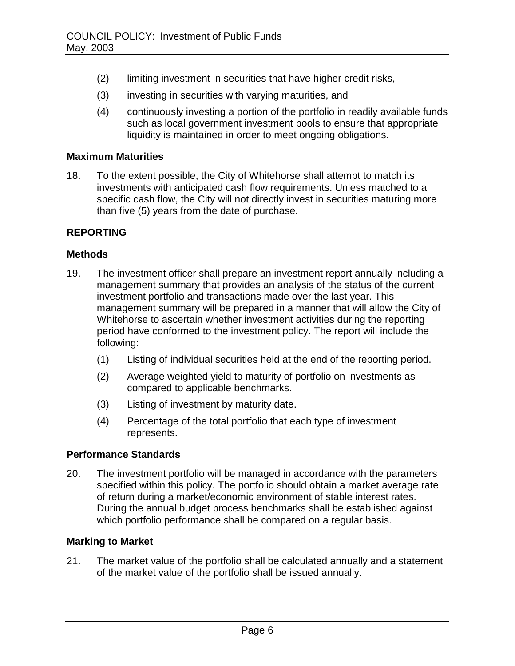- (2) limiting investment in securities that have higher credit risks,
- (3) investing in securities with varying maturities, and
- (4) continuously investing a portion of the portfolio in readily available funds such as local government investment pools to ensure that appropriate liquidity is maintained in order to meet ongoing obligations.

#### **Maximum Maturities**

18. To the extent possible, the City of Whitehorse shall attempt to match its investments with anticipated cash flow requirements. Unless matched to a specific cash flow, the City will not directly invest in securities maturing more than five (5) years from the date of purchase.

#### **REPORTING**

#### **Methods**

- 19. The investment officer shall prepare an investment report annually including a management summary that provides an analysis of the status of the current investment portfolio and transactions made over the last year. This management summary will be prepared in a manner that will allow the City of Whitehorse to ascertain whether investment activities during the reporting period have conformed to the investment policy. The report will include the following:
	- (1) Listing of individual securities held at the end of the reporting period.
	- (2) Average weighted yield to maturity of portfolio on investments as compared to applicable benchmarks.
	- (3) Listing of investment by maturity date.
	- (4) Percentage of the total portfolio that each type of investment represents.

#### **Performance Standards**

20. The investment portfolio will be managed in accordance with the parameters specified within this policy. The portfolio should obtain a market average rate of return during a market/economic environment of stable interest rates. During the annual budget process benchmarks shall be established against which portfolio performance shall be compared on a regular basis.

#### **Marking to Market**

21. The market value of the portfolio shall be calculated annually and a statement of the market value of the portfolio shall be issued annually.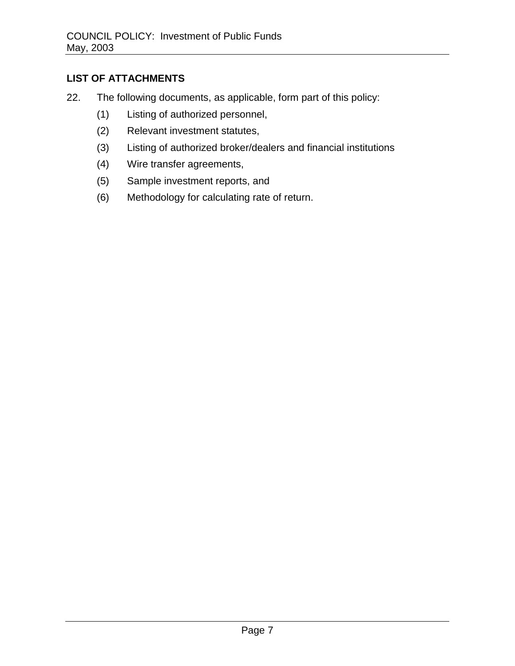## **LIST OF ATTACHMENTS**

- 22. The following documents, as applicable, form part of this policy:
	- (1) Listing of authorized personnel,
	- (2) Relevant investment statutes,
	- (3) Listing of authorized broker/dealers and financial institutions
	- (4) Wire transfer agreements,
	- (5) Sample investment reports, and
	- (6) Methodology for calculating rate of return.